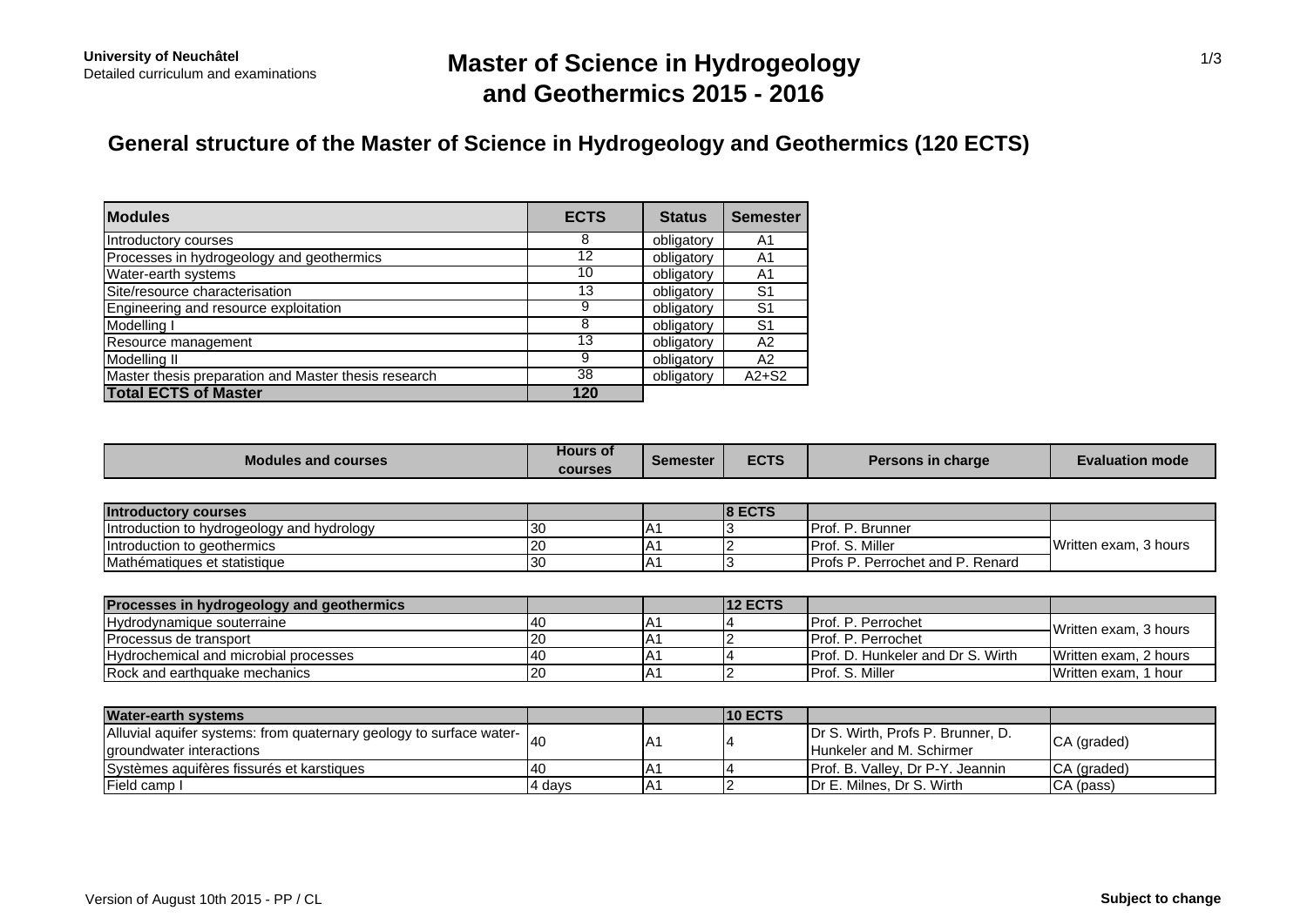# **Master of Science in Hydrogeology and Geothermics 2015 - 2016**

## **General structure of the Master of Science in Hydrogeology and Geothermics (120 ECTS)**

| <b>Modules</b>                                       | <b>ECTS</b> | <b>Status</b> | <b>Semester</b> |
|------------------------------------------------------|-------------|---------------|-----------------|
| Introductory courses                                 | 8           | obligatory    | A1              |
| Processes in hydrogeology and geothermics            | 12          | obligatory    | A1              |
| Water-earth systems                                  | 10          | obligatory    | A1              |
| Site/resource characterisation                       | 13          | obligatory    | S <sub>1</sub>  |
| Engineering and resource exploitation                |             | obligatory    | S <sub>1</sub>  |
| Modelling I                                          | 8           | obligatory    | S <sub>1</sub>  |
| Resource management                                  | 13          | obligatory    | A2              |
| Modelling II                                         | 9           | obligatory    | A <sub>2</sub>  |
| Master thesis preparation and Master thesis research | 38          | obligatory    | $A2+S2$         |
| <b>Total ECTS of Master</b>                          | 120         |               |                 |

| <b>Modules and courses</b>                 | <b>Hours of</b><br><b>courses</b> | Semester     | <b>ECTS</b>    | Persons in charge                        | <b>Evaluation mode</b> |  |
|--------------------------------------------|-----------------------------------|--------------|----------------|------------------------------------------|------------------------|--|
|                                            |                                   |              |                |                                          |                        |  |
| <b>Introductory courses</b>                |                                   |              | <b>8 ECTS</b>  |                                          |                        |  |
| Introduction to hydrogeology and hydrology | 30                                |              |                | Prof. P. Brunner                         | Written exam, 3 hours  |  |
| Introduction to geothermics                | 20                                |              |                | Prof. S. Miller                          |                        |  |
| Mathématiques et statistique               | 30                                | $A^{\prime}$ |                | Profs P. Perrochet and P. Renard         |                        |  |
|                                            |                                   |              |                |                                          |                        |  |
| Processes in hydrogeology and geothermics  |                                   |              | <b>12 ECTS</b> |                                          |                        |  |
| Hydrodynamique souterraine                 | 40                                |              |                | Prof. P. Perrochet                       | Written exam, 3 hours  |  |
| Processus de transport                     | 20                                |              |                | Prof. P. Perrochet                       |                        |  |
| Hydrochemical and microbial processes      | 40                                | A'           |                | <b>Prof. D. Hunkeler and Dr S. Wirth</b> | Written exam, 2 hours  |  |
| Rock and earthquake mechanics              | 20                                | IA1          |                | Prof. S. Miller                          | Written exam, 1 hour   |  |

| <b>Water-earth systems</b>                                                                      |        |     | <b>10 ECTS</b> |                                                                      |             |
|-------------------------------------------------------------------------------------------------|--------|-----|----------------|----------------------------------------------------------------------|-------------|
| Alluvial aquifer systems: from quaternary geology to surface water-<br>groundwater interactions |        | IA1 |                | Dr S. Wirth, Profs P. Brunner, D.<br><b>Hunkeler and M. Schirmer</b> | CA (graded) |
| Systèmes aquifères fissurés et karstiques                                                       | 140    | IA. |                | <b>IProf. B. Vallev. Dr P-Y. Jeannin</b>                             | CA (graded) |
| <b>IField camp I</b>                                                                            | 4 davs | ۱A۰ |                | <b>IDr E. Milnes, Dr S. Wirth</b>                                    | CA (pass)   |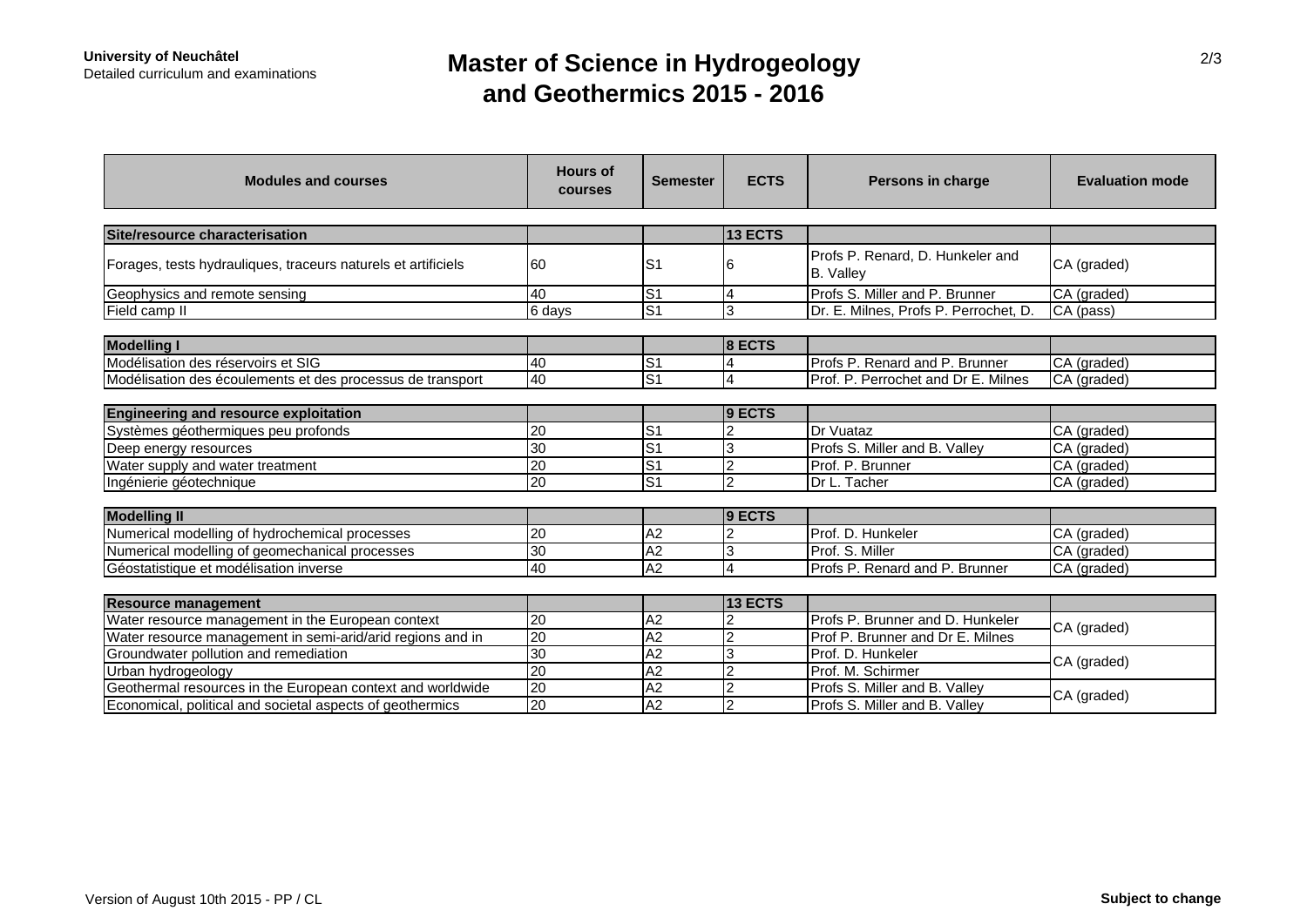## **Master of Science in Hydrogeology and Geothermics 2015 - 2016**

| <b>Modules and courses</b>                                    | <b>Hours of</b><br>courses | <b>Semester</b>           | <b>ECTS</b>    | Persons in charge                                    | <b>Evaluation mode</b> |  |
|---------------------------------------------------------------|----------------------------|---------------------------|----------------|------------------------------------------------------|------------------------|--|
|                                                               |                            |                           |                |                                                      |                        |  |
| Site/resource characterisation                                |                            |                           | 13 ECTS        |                                                      |                        |  |
| Forages, tests hydrauliques, traceurs naturels et artificiels | 60                         | S <sub>1</sub>            | h              | Profs P. Renard, D. Hunkeler and<br><b>B.</b> Valley | CA (graded)            |  |
| Geophysics and remote sensing                                 | 40                         | $\overline{\mathsf{S}}$ 1 | $\overline{a}$ | Profs S. Miller and P. Brunner                       | CA (graded)            |  |
| Field camp II                                                 | 6 days                     | S <sub>1</sub>            | 3              | Dr. E. Milnes, Profs P. Perrochet, D.                | CA (pass)              |  |
|                                                               |                            |                           |                |                                                      |                        |  |
| <b>Modelling I</b>                                            |                            |                           | 8 ECTS         |                                                      |                        |  |
| Modélisation des réservoirs et SIG                            | 40                         | $\overline{S}$            |                | Profs P. Renard and P. Brunner                       | CA (graded)            |  |
| Modélisation des écoulements et des processus de transport    | 40                         | S <sub>1</sub>            | 4              | Prof. P. Perrochet and Dr E. Milnes                  | CA (graded)            |  |
|                                                               |                            |                           |                |                                                      |                        |  |
| <b>Engineering and resource exploitation</b>                  |                            |                           | 9 ECTS         |                                                      |                        |  |
| Systèmes géothermiques peu profonds                           | 20                         | S1                        |                | Dr Vuataz                                            | CA (graded)            |  |
| Deep energy resources                                         | 30                         | ۱S                        | l3             | Profs S. Miller and B. Valley                        | CA (graded)            |  |
| Water supply and water treatment                              | $\overline{20}$            | $\overline{S1}$           | $\overline{2}$ | Prof. P. Brunner                                     | CA (graded)            |  |
| Ingénierie géotechnique                                       | 20                         | S <sub>1</sub>            | $\overline{2}$ | Dr L. Tacher                                         | CA (graded)            |  |
|                                                               |                            |                           |                |                                                      |                        |  |
| <b>Modelling II</b>                                           |                            |                           | 9 ECTS         |                                                      |                        |  |
| Numerical modelling of hydrochemical processes                | 20                         | A2                        |                | Prof. D. Hunkeler                                    | CA (graded)            |  |
| Numerical modelling of geomechanical processes                | 30                         | $\overline{A2}$           | 3              | Prof. S. Miller                                      | CA (graded)            |  |
| Géostatistique et modélisation inverse                        | 40                         | A2                        | $\overline{4}$ | Profs P. Renard and P. Brunner                       | CA (graded)            |  |
|                                                               |                            |                           |                |                                                      |                        |  |
| <b>Resource management</b>                                    |                            |                           | 13 ECTS        |                                                      |                        |  |
| Water resource management in the European context             | $\overline{20}$            | A2                        | $\overline{2}$ | Profs P. Brunner and D. Hunkeler                     | CA (graded)            |  |
| Water resource management in semi-arid/arid regions and in    | 20                         | A2                        | $\overline{2}$ | Prof P. Brunner and Dr E. Milnes                     |                        |  |
| Groundwater pollution and remediation                         | 30                         | A2                        | 3              | Prof. D. Hunkeler                                    | CA (graded)            |  |
| Urban hydrogeology                                            | 20                         | A2                        | $\overline{2}$ | Prof. M. Schirmer                                    |                        |  |
| Geothermal resources in the European context and worldwide    | $\overline{20}$            | $\overline{A2}$           | $\overline{2}$ | Profs S. Miller and B. Valley                        | CA (graded)            |  |
| Economical, political and societal aspects of geothermics     | 20                         | A2                        | $\overline{2}$ | Profs S. Miller and B. Valley                        |                        |  |